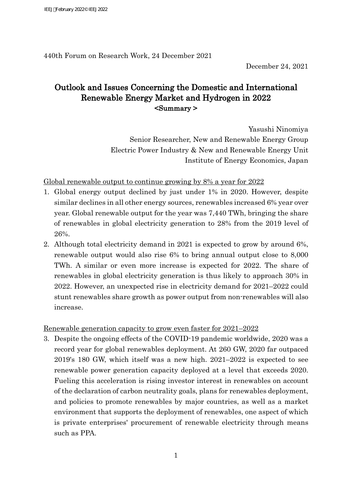440th Forum on Research Work, 24 December 2021

December 24, 2021

# Outlook and Issues Concerning the Domestic and International Renewable Energy Market and Hydrogen in 2022 <Summary >

Yasushi Ninomiya Senior Researcher, New and Renewable Energy Group Electric Power Industry & New and Renewable Energy Unit Institute of Energy Economics, Japan

## Global renewable output to continue growing by 8% a year for 2022

- 1. Global energy output declined by just under 1% in 2020. However, despite similar declines in all other energy sources, renewables increased 6% year over year. Global renewable output for the year was 7,440 TWh, bringing the share of renewables in global electricity generation to 28% from the 2019 level of 26%.
- 2. Although total electricity demand in 2021 is expected to grow by around 6%, renewable output would also rise 6% to bring annual output close to 8,000 TWh. A similar or even more increase is expected for 2022. The share of renewables in global electricity generation is thus likely to approach 30% in 2022. However, an unexpected rise in electricity demand for 2021–2022 could stunt renewables share growth as power output from non-renewables will also increase.

## Renewable generation capacity to grow even faster for 2021–2022

3. Despite the ongoing effects of the COVID-19 pandemic worldwide, 2020 was a record year for global renewables deployment. At 260 GW, 2020 far outpaced 2019's 180 GW, which itself was a new high. 2021–2022 is expected to see renewable power generation capacity deployed at a level that exceeds 2020. Fueling this acceleration is rising investor interest in renewables on account of the declaration of carbon neutrality goals, plans for renewables deployment, and policies to promote renewables by major countries, as well as a market environment that supports the deployment of renewables, one aspect of which is private enterprises' procurement of renewable electricity through means such as PPA.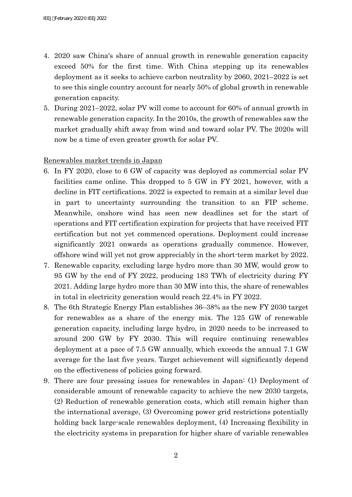- 4. 2020 saw China's share of annual growth in renewable generation capacity exceed 50% for the first time. With China stepping up its renewables deployment as it seeks to achieve carbon neutrality by 2060, 2021–2022 is set to see this single country account for nearly 50% of global growth in renewable generation capacity.
- 5. During 2021–2022, solar PV will come to account for 60% of annual growth in renewable generation capacity. In the 2010s, the growth of renewables saw the market gradually shift away from wind and toward solar PV. The 2020s will now be a time of even greater growth for solar PV.

### Renewables market trends in Japan

- 6. In FY 2020, close to 6 GW of capacity was deployed as commercial solar PV facilities came online. This dropped to 5 GW in FY 2021, however, with a decline in FIT certifications. 2022 is expected to remain at a similar level due in part to uncertainty surrounding the transition to an FIP scheme. Meanwhile, onshore wind has seen new deadlines set for the start of operations and FIT certification expiration for projects that have received FIT certification but not yet commenced operations. Deployment could increase significantly 2021 onwards as operations gradually commence. However, offshore wind will yet not grow appreciably in the short-term market by 2022.
- 7. Renewable capacity, excluding large hydro more than 30 MW, would grow to 95 GW by the end of FY 2022, producing 183 TWh of electricity during FY 2021. Adding large hydro more than 30 MW into this, the share of renewables in total in electricity generation would reach 22.4% in FY 2022.
- 8. The 6th Strategic Energy Plan establishes 36–38% as the new FY 2030 target for renewables as a share of the energy mix. The 125 GW of renewable generation capacity, including large hydro, in 2020 needs to be increased to around 200 GW by FY 2030. This will require continuing renewables deployment at a pace of 7.5 GW annually, which exceeds the annual 7.1 GW average for the last five years. Target achievement will significantly depend on the effectiveness of policies going forward.
- 9. There are four pressing issues for renewables in Japan: (1) Deployment of considerable amount of renewable capacity to achieve the new 2030 targets, (2) Reduction of renewable generation costs, which still remain higher than the international average, (3) Overcoming power grid restrictions potentially holding back large-scale renewables deployment, (4) Increasing flexibility in the electricity systems in preparation for higher share of variable renewables